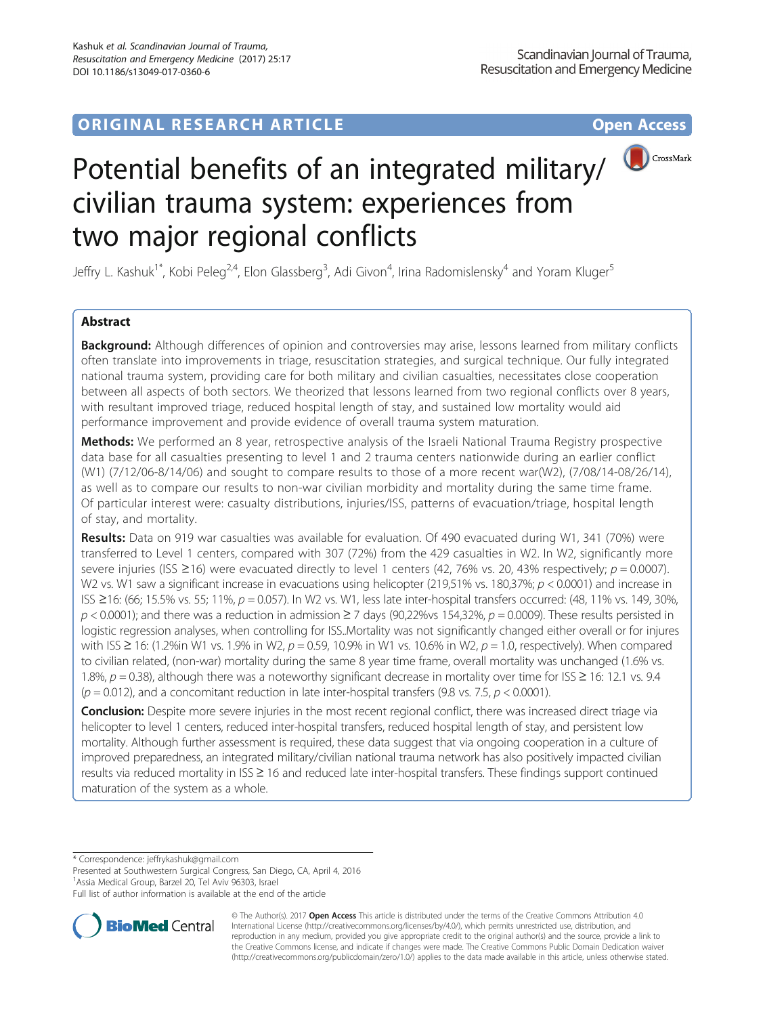# **ORIGINAL RESEARCH ARTICLE CONSUMING ACCESS**



# Potential benefits of an integrated military/ civilian trauma system: experiences from two major regional conflicts

Jeffry L. Kashuk<sup>1\*</sup>, Kobi Peleg<sup>2,4</sup>, Elon Glassberg<sup>3</sup>, Adi Givon<sup>4</sup>, Irina Radomislensky<sup>4</sup> and Yoram Kluger<sup>5</sup>

# Abstract

Background: Although differences of opinion and controversies may arise, lessons learned from military conflicts often translate into improvements in triage, resuscitation strategies, and surgical technique. Our fully integrated national trauma system, providing care for both military and civilian casualties, necessitates close cooperation between all aspects of both sectors. We theorized that lessons learned from two regional conflicts over 8 years, with resultant improved triage, reduced hospital length of stay, and sustained low mortality would aid performance improvement and provide evidence of overall trauma system maturation.

Methods: We performed an 8 year, retrospective analysis of the Israeli National Trauma Registry prospective data base for all casualties presenting to level 1 and 2 trauma centers nationwide during an earlier conflict (W1) (7/12/06-8/14/06) and sought to compare results to those of a more recent war(W2), (7/08/14-08/26/14), as well as to compare our results to non-war civilian morbidity and mortality during the same time frame. Of particular interest were: casualty distributions, injuries/ISS, patterns of evacuation/triage, hospital length of stay, and mortality.

Results: Data on 919 war casualties was available for evaluation. Of 490 evacuated during W1, 341 (70%) were transferred to Level 1 centers, compared with 307 (72%) from the 429 casualties in W2. In W2, significantly more severe injuries (ISS  $\geq$ 16) were evacuated directly to level 1 centers (42, 76% vs. 20, 43% respectively;  $p = 0.0007$ ). W2 vs. W1 saw a significant increase in evacuations using helicopter (219,51% vs. 180,37%; p < 0.0001) and increase in ISS ≥16: (66; 15.5% vs. 55; 11%, p = 0.057). In W2 vs. W1, less late inter-hospital transfers occurred: (48, 11% vs. 149, 30%,  $p < 0.0001$ ); and there was a reduction in admission  $\geq 7$  days (90,22%vs 154,32%,  $p = 0.0009$ ). These results persisted in logistic regression analyses, when controlling for ISS..Mortality was not significantly changed either overall or for injures with ISS ≥ 16: (1.2%in W1 vs. 1.9% in W2,  $p = 0.59$ , 10.9% in W1 vs. 10.6% in W2,  $p = 1.0$ , respectively). When compared to civilian related, (non-war) mortality during the same 8 year time frame, overall mortality was unchanged (1.6% vs. 1.8%,  $p = 0.38$ ), although there was a noteworthy significant decrease in mortality over time for ISS  $\geq$  16: 12.1 vs. 9.4  $(p = 0.012)$ , and a concomitant reduction in late inter-hospital transfers (9.8 vs. 7.5,  $p < 0.0001$ ).

Conclusion: Despite more severe injuries in the most recent regional conflict, there was increased direct triage via helicopter to level 1 centers, reduced inter-hospital transfers, reduced hospital length of stay, and persistent low mortality. Although further assessment is required, these data suggest that via ongoing cooperation in a culture of improved preparedness, an integrated military/civilian national trauma network has also positively impacted civilian results via reduced mortality in ISS ≥ 16 and reduced late inter-hospital transfers. These findings support continued maturation of the system as a whole.

\* Correspondence: [jeffrykashuk@gmail.com](mailto:jeffrykashuk@gmail.com)

Presented at Southwestern Surgical Congress, San Diego, CA, April 4, 2016 <sup>1</sup> Assia Medical Group, Barzel 20, Tel Aviv 96303, Israel

Full list of author information is available at the end of the article



© The Author(s). 2017 **Open Access** This article is distributed under the terms of the Creative Commons Attribution 4.0 International License [\(http://creativecommons.org/licenses/by/4.0/](http://creativecommons.org/licenses/by/4.0/)), which permits unrestricted use, distribution, and reproduction in any medium, provided you give appropriate credit to the original author(s) and the source, provide a link to the Creative Commons license, and indicate if changes were made. The Creative Commons Public Domain Dedication waiver [\(http://creativecommons.org/publicdomain/zero/1.0/](http://creativecommons.org/publicdomain/zero/1.0/)) applies to the data made available in this article, unless otherwise stated.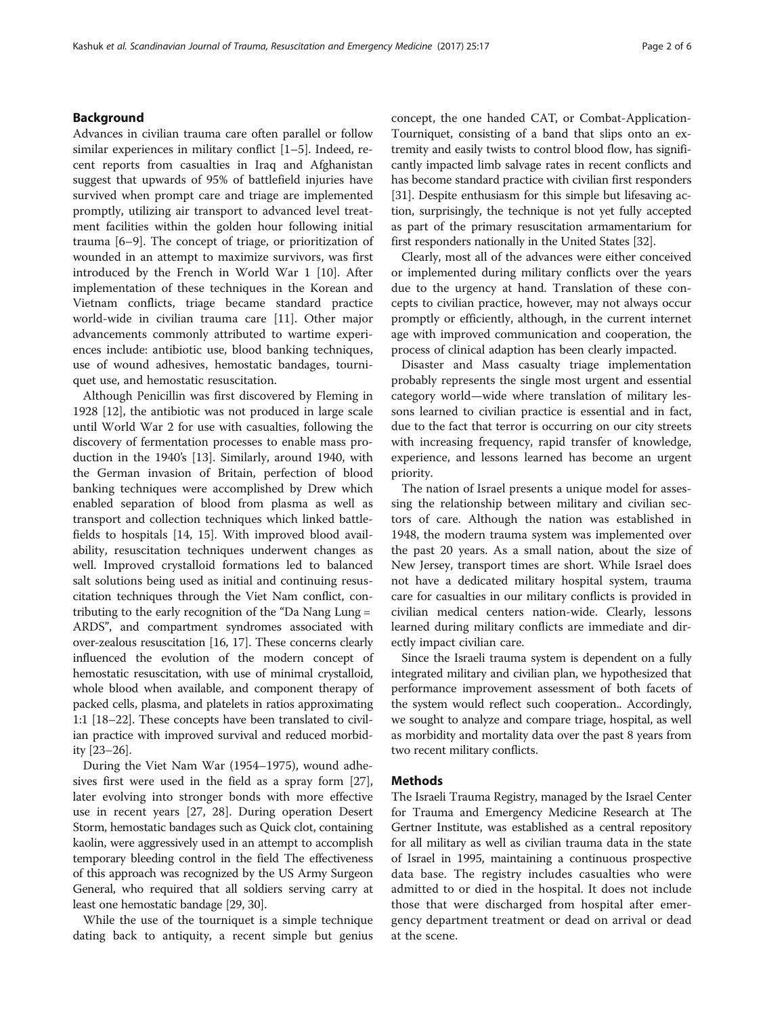## Background

Advances in civilian trauma care often parallel or follow similar experiences in military conflict [\[1](#page-4-0)–[5](#page-4-0)]. Indeed, recent reports from casualties in Iraq and Afghanistan suggest that upwards of 95% of battlefield injuries have survived when prompt care and triage are implemented promptly, utilizing air transport to advanced level treatment facilities within the golden hour following initial trauma [[6](#page-4-0)–[9](#page-4-0)]. The concept of triage, or prioritization of wounded in an attempt to maximize survivors, was first introduced by the French in World War 1 [[10](#page-4-0)]. After implementation of these techniques in the Korean and Vietnam conflicts, triage became standard practice world-wide in civilian trauma care [\[11](#page-4-0)]. Other major advancements commonly attributed to wartime experiences include: antibiotic use, blood banking techniques, use of wound adhesives, hemostatic bandages, tourniquet use, and hemostatic resuscitation.

Although Penicillin was first discovered by Fleming in 1928 [[12\]](#page-4-0), the antibiotic was not produced in large scale until World War 2 for use with casualties, following the discovery of fermentation processes to enable mass production in the 1940's [[13](#page-4-0)]. Similarly, around 1940, with the German invasion of Britain, perfection of blood banking techniques were accomplished by Drew which enabled separation of blood from plasma as well as transport and collection techniques which linked battlefields to hospitals [[14, 15\]](#page-4-0). With improved blood availability, resuscitation techniques underwent changes as well. Improved crystalloid formations led to balanced salt solutions being used as initial and continuing resuscitation techniques through the Viet Nam conflict, contributing to the early recognition of the "Da Nang Lung = ARDS", and compartment syndromes associated with over-zealous resuscitation [\[16, 17](#page-4-0)]. These concerns clearly influenced the evolution of the modern concept of hemostatic resuscitation, with use of minimal crystalloid, whole blood when available, and component therapy of packed cells, plasma, and platelets in ratios approximating 1:1 [[18](#page-4-0)–[22\]](#page-5-0). These concepts have been translated to civilian practice with improved survival and reduced morbidity [\[23](#page-5-0)–[26](#page-5-0)].

During the Viet Nam War (1954–1975), wound adhesives first were used in the field as a spray form [\[27](#page-5-0)], later evolving into stronger bonds with more effective use in recent years [\[27](#page-5-0), [28](#page-5-0)]. During operation Desert Storm, hemostatic bandages such as Quick clot, containing kaolin, were aggressively used in an attempt to accomplish temporary bleeding control in the field The effectiveness of this approach was recognized by the US Army Surgeon General, who required that all soldiers serving carry at least one hemostatic bandage [[29](#page-5-0), [30\]](#page-5-0).

While the use of the tourniquet is a simple technique dating back to antiquity, a recent simple but genius concept, the one handed CAT, or Combat-Application-Tourniquet, consisting of a band that slips onto an extremity and easily twists to control blood flow, has significantly impacted limb salvage rates in recent conflicts and has become standard practice with civilian first responders [[31](#page-5-0)]. Despite enthusiasm for this simple but lifesaving action, surprisingly, the technique is not yet fully accepted as part of the primary resuscitation armamentarium for first responders nationally in the United States [\[32\]](#page-5-0).

Clearly, most all of the advances were either conceived or implemented during military conflicts over the years due to the urgency at hand. Translation of these concepts to civilian practice, however, may not always occur promptly or efficiently, although, in the current internet age with improved communication and cooperation, the process of clinical adaption has been clearly impacted.

Disaster and Mass casualty triage implementation probably represents the single most urgent and essential category world—wide where translation of military lessons learned to civilian practice is essential and in fact, due to the fact that terror is occurring on our city streets with increasing frequency, rapid transfer of knowledge, experience, and lessons learned has become an urgent priority.

The nation of Israel presents a unique model for assessing the relationship between military and civilian sectors of care. Although the nation was established in 1948, the modern trauma system was implemented over the past 20 years. As a small nation, about the size of New Jersey, transport times are short. While Israel does not have a dedicated military hospital system, trauma care for casualties in our military conflicts is provided in civilian medical centers nation-wide. Clearly, lessons learned during military conflicts are immediate and directly impact civilian care.

Since the Israeli trauma system is dependent on a fully integrated military and civilian plan, we hypothesized that performance improvement assessment of both facets of the system would reflect such cooperation.. Accordingly, we sought to analyze and compare triage, hospital, as well as morbidity and mortality data over the past 8 years from two recent military conflicts.

#### Methods

The Israeli Trauma Registry, managed by the Israel Center for Trauma and Emergency Medicine Research at The Gertner Institute, was established as a central repository for all military as well as civilian trauma data in the state of Israel in 1995, maintaining a continuous prospective data base. The registry includes casualties who were admitted to or died in the hospital. It does not include those that were discharged from hospital after emergency department treatment or dead on arrival or dead at the scene.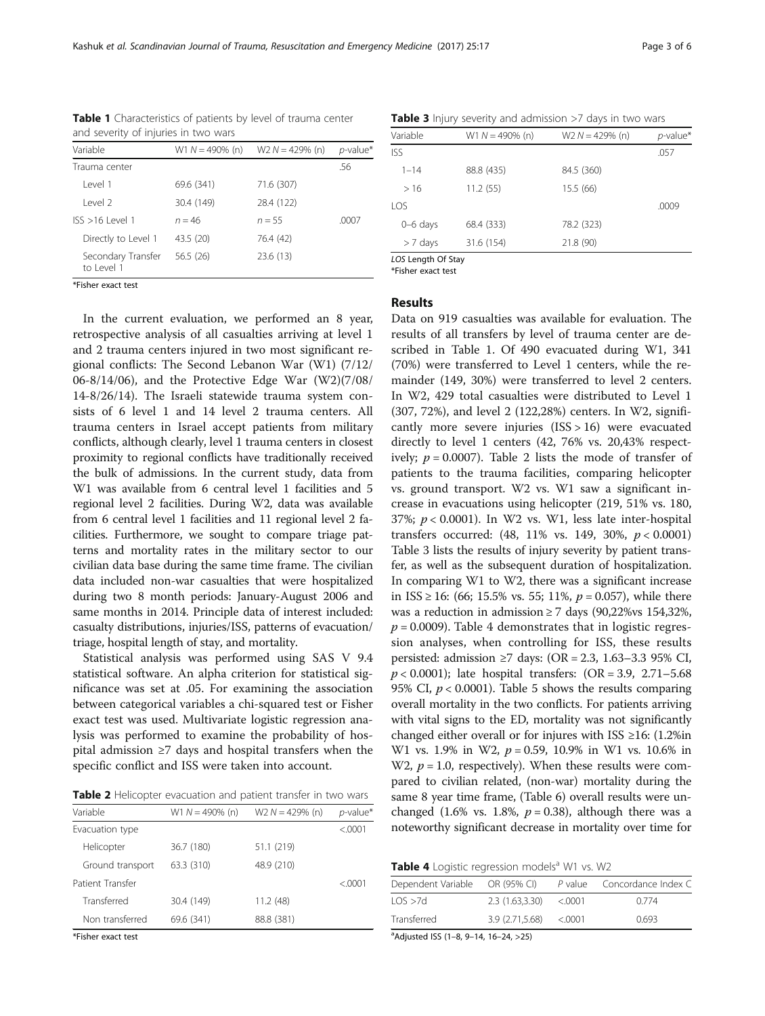| Variable                         | $W1 N = 490\% (n)$ | $W2 N = 429\% (n)$ | $p$ -value* |  |
|----------------------------------|--------------------|--------------------|-------------|--|
| Trauma center                    |                    |                    | .56         |  |
| level 1                          | 69.6 (341)         | 71.6 (307)         |             |  |
| level <sub>2</sub>               | 30.4 (149)         | 28.4 (122)         |             |  |
| $ISS > 16$ Level 1               | $n = 46$           | $n = 55$           | .0007       |  |
| Directly to Level 1              | 43.5 (20)          | 76.4 (42)          |             |  |
| Secondary Transfer<br>to Level 1 | 56.5 (26)          | 23.6 (13)          |             |  |

Table 1 Characteristics of patients by level of trauma center and severity of injuries in two wars

\*Fisher exact test

In the current evaluation, we performed an 8 year, retrospective analysis of all casualties arriving at level 1 and 2 trauma centers injured in two most significant regional conflicts: The Second Lebanon War (W1) (7/12/ 06-8/14/06), and the Protective Edge War (W2)(7/08/ 14-8/26/14). The Israeli statewide trauma system consists of 6 level 1 and 14 level 2 trauma centers. All trauma centers in Israel accept patients from military conflicts, although clearly, level 1 trauma centers in closest proximity to regional conflicts have traditionally received the bulk of admissions. In the current study, data from W1 was available from 6 central level 1 facilities and 5 regional level 2 facilities. During W2, data was available from 6 central level 1 facilities and 11 regional level 2 facilities. Furthermore, we sought to compare triage patterns and mortality rates in the military sector to our civilian data base during the same time frame. The civilian data included non-war casualties that were hospitalized during two 8 month periods: January-August 2006 and same months in 2014. Principle data of interest included: casualty distributions, injuries/ISS, patterns of evacuation/ triage, hospital length of stay, and mortality.

Statistical analysis was performed using SAS V 9.4 statistical software. An alpha criterion for statistical significance was set at .05. For examining the association between categorical variables a chi-squared test or Fisher exact test was used. Multivariate logistic regression analysis was performed to examine the probability of hospital admission ≥7 days and hospital transfers when the specific conflict and ISS were taken into account.

Table 2 Helicopter evacuation and patient transfer in two wars

| Variable         | $W1 N = 490\% (n)$ | $W2 N = 429\% (n)$ | $p$ -value* |  |
|------------------|--------------------|--------------------|-------------|--|
| Evacuation type  |                    |                    | < .0001     |  |
| Helicopter       | 36.7 (180)         | 51.1 (219)         |             |  |
| Ground transport | 63.3 (310)         | 48.9 (210)         |             |  |
| Patient Transfer |                    |                    | < 0001      |  |
| Transferred      | 30.4 (149)         | 11.2 (48)          |             |  |
| Non transferred  | 69.6 (341)         | 88.8 (381)         |             |  |
|                  |                    |                    |             |  |

\*Fisher exact test

Table 3 Injury severity and admission >7 days in two wars

| Variable   | $W1 N = 490\% (n)$ | $W2 N = 429\% (n)$ | $p$ -value* |
|------------|--------------------|--------------------|-------------|
| <b>ISS</b> |                    |                    | .057        |
| $1 - 14$   | 88.8 (435)         | 84.5 (360)         |             |
| >16        | 11.2(55)           | 15.5 (66)          |             |
| los        |                    |                    | .0009       |
| $0-6$ days | 68.4 (333)         | 78.2 (323)         |             |
| $> 7$ days | 31.6 (154)         | 21.8 (90)          |             |
|            |                    |                    |             |

LOS Length Of Stay

\*Fisher exact test

#### Results

Data on 919 casualties was available for evaluation. The results of all transfers by level of trauma center are described in Table 1. Of 490 evacuated during W1, 341 (70%) were transferred to Level 1 centers, while the remainder (149, 30%) were transferred to level 2 centers. In W2, 429 total casualties were distributed to Level 1 (307, 72%), and level 2 (122,28%) centers. In W2, significantly more severe injuries (ISS > 16) were evacuated directly to level 1 centers (42, 76% vs. 20,43% respectively;  $p = 0.0007$ ). Table 2 lists the mode of transfer of patients to the trauma facilities, comparing helicopter vs. ground transport. W2 vs. W1 saw a significant increase in evacuations using helicopter (219, 51% vs. 180, 37%;  $p < 0.0001$ ). In W2 vs. W1, less late inter-hospital transfers occurred:  $(48, 11\% \text{ vs. } 149, 30\%, p < 0.0001)$ Table 3 lists the results of injury severity by patient transfer, as well as the subsequent duration of hospitalization. In comparing W1 to W2, there was a significant increase in ISS ≥ 16: (66; 15.5% vs. 55; 11%,  $p = 0.057$ ), while there was a reduction in admission  $\geq$  7 days (90,22%vs 154,32%,  $p = 0.0009$ . Table 4 demonstrates that in logistic regression analyses, when controlling for ISS, these results persisted: admission ≥7 days: (OR = 2.3, 1.63–3.3 95% CI,  $p < 0.0001$ ); late hospital transfers: (OR = 3.9, 2.71–5.68) 95% CI,  $p < 0.0001$ ). Table [5](#page-3-0) shows the results comparing overall mortality in the two conflicts. For patients arriving with vital signs to the ED, mortality was not significantly changed either overall or for injures with ISS ≥16: (1.2%in W1 vs. 1.9% in W2,  $p = 0.59$ , 10.9% in W1 vs. 10.6% in W2,  $p = 1.0$ , respectively). When these results were compared to civilian related, (non-war) mortality during the same 8 year time frame, (Table [6](#page-3-0)) overall results were unchanged (1.6% vs. 1.8%,  $p = 0.38$ ), although there was a noteworthy significant decrease in mortality over time for

|  | Table 4 Logistic regression models <sup>a</sup> W1 vs. W2 |  |  |
|--|-----------------------------------------------------------|--|--|
|  |                                                           |  |  |

| Dependent Variable OR (95% CI) |                         |          | P value Concordance Index C |
|--------------------------------|-------------------------|----------|-----------------------------|
| 1OS > 7d                       | 2.3(1.63.3.30) < 0.0001 |          | 0.774                       |
| Transferred                    | 3.9 (2.71.5.68)         | < 0.0001 | 0.693                       |
|                                |                         |          |                             |

a Adjusted ISS (1–8, 9–14, 16–24, >25)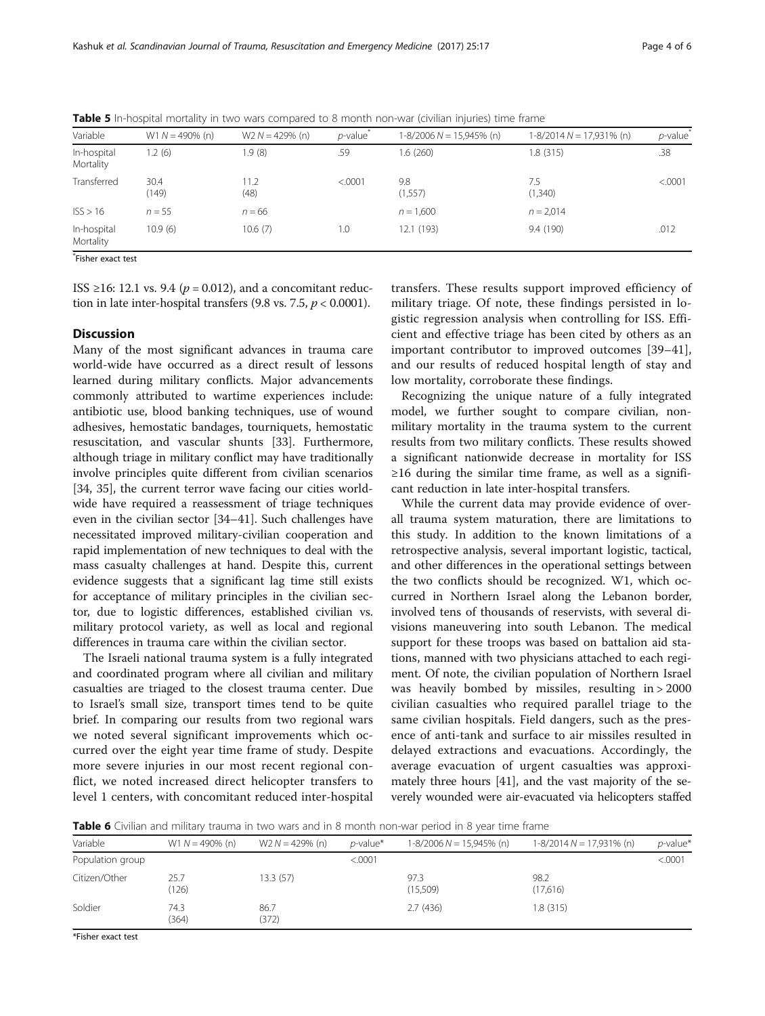| Variable                 | W1 $N = 490\%$ (n) | $W2 N = 429\% (n)$ | $p$ -value <sup>*</sup> | $1 - 8/2006 N = 15,945\% (n)$ | $1 - 8/2014 N = 17,931\%$ (n) | <i>p</i> -value |
|--------------------------|--------------------|--------------------|-------------------------|-------------------------------|-------------------------------|-----------------|
| In-hospital<br>Mortality | 1.2(6)             | 1.9(8)             | .59                     | 1.6 (260)                     | 1.8(315)                      | .38             |
| Transferred              | 30.4<br>(149)      | 11.2<br>(48)       | < .0001                 | 9.8<br>(1,557)                | 7.5<br>(1,340)                | < 0001          |
| ISS > 16                 | $n = 55$           | $n = 66$           |                         | $n = 1,600$                   | $n = 2.014$                   |                 |
| In-hospital<br>Mortality | 10.9(6)            | 10.6(7)            | 1.0                     | 12.1 (193)                    | 9.4 (190)                     | .012            |

<span id="page-3-0"></span>Table 5 In-hospital mortality in two wars compared to 8 month non-war (civilian injuries) time frame

\* Fisher exact test

ISS ≥16: 12.1 vs. 9.4 ( $p = 0.012$ ), and a concomitant reduction in late inter-hospital transfers  $(9.8 \text{ vs. } 7.5, p < 0.0001)$ .

## **Discussion**

Many of the most significant advances in trauma care world-wide have occurred as a direct result of lessons learned during military conflicts. Major advancements commonly attributed to wartime experiences include: antibiotic use, blood banking techniques, use of wound adhesives, hemostatic bandages, tourniquets, hemostatic resuscitation, and vascular shunts [[33\]](#page-5-0). Furthermore, although triage in military conflict may have traditionally involve principles quite different from civilian scenarios [[34, 35](#page-5-0)], the current terror wave facing our cities worldwide have required a reassessment of triage techniques even in the civilian sector [\[34](#page-5-0)–[41](#page-5-0)]. Such challenges have necessitated improved military-civilian cooperation and rapid implementation of new techniques to deal with the mass casualty challenges at hand. Despite this, current evidence suggests that a significant lag time still exists for acceptance of military principles in the civilian sector, due to logistic differences, established civilian vs. military protocol variety, as well as local and regional differences in trauma care within the civilian sector.

The Israeli national trauma system is a fully integrated and coordinated program where all civilian and military casualties are triaged to the closest trauma center. Due to Israel's small size, transport times tend to be quite brief. In comparing our results from two regional wars we noted several significant improvements which occurred over the eight year time frame of study. Despite more severe injuries in our most recent regional conflict, we noted increased direct helicopter transfers to level 1 centers, with concomitant reduced inter-hospital

transfers. These results support improved efficiency of military triage. Of note, these findings persisted in logistic regression analysis when controlling for ISS. Efficient and effective triage has been cited by others as an important contributor to improved outcomes [\[39](#page-5-0)–[41](#page-5-0)], and our results of reduced hospital length of stay and low mortality, corroborate these findings.

Recognizing the unique nature of a fully integrated model, we further sought to compare civilian, nonmilitary mortality in the trauma system to the current results from two military conflicts. These results showed a significant nationwide decrease in mortality for ISS  $\geq$ 16 during the similar time frame, as well as a significant reduction in late inter-hospital transfers.

While the current data may provide evidence of overall trauma system maturation, there are limitations to this study. In addition to the known limitations of a retrospective analysis, several important logistic, tactical, and other differences in the operational settings between the two conflicts should be recognized. W1, which occurred in Northern Israel along the Lebanon border, involved tens of thousands of reservists, with several divisions maneuvering into south Lebanon. The medical support for these troops was based on battalion aid stations, manned with two physicians attached to each regiment. Of note, the civilian population of Northern Israel was heavily bombed by missiles, resulting in > 2000 civilian casualties who required parallel triage to the same civilian hospitals. Field dangers, such as the presence of anti-tank and surface to air missiles resulted in delayed extractions and evacuations. Accordingly, the average evacuation of urgent casualties was approximately three hours [\[41\]](#page-5-0), and the vast majority of the severely wounded were air-evacuated via helicopters staffed

Table 6 Civilian and military trauma in two wars and in 8 month non-war period in 8 year time frame

| $W1 N = 490\% (n)$ | $W2N = 429\%$ (n) | $p$ -value* | $1 - 8/2006 N = 15,945\% (n)$ | $1-8/2014 N = 17,931% (n)$ | $p$ -value* |
|--------------------|-------------------|-------------|-------------------------------|----------------------------|-------------|
|                    |                   | < 0001      |                               |                            | < .0001     |
| 25.7<br>(126)      | 13.3 (57)         |             | 97.3<br>(15,509)              | 98.2<br>(17,616)           |             |
| 74.3<br>(364)      | 86.7<br>(372)     |             | 2.7(436)                      | 1.8(315)                   |             |
|                    |                   |             |                               |                            |             |

\*Fisher exact test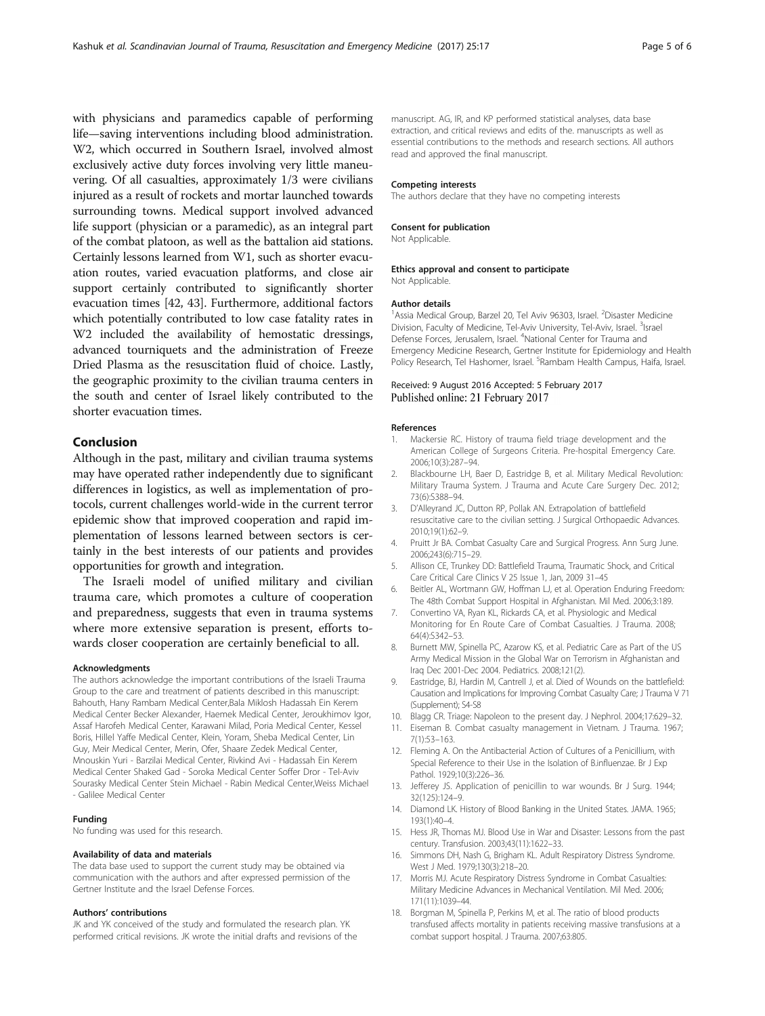<span id="page-4-0"></span>with physicians and paramedics capable of performing life—saving interventions including blood administration. W2, which occurred in Southern Israel, involved almost exclusively active duty forces involving very little maneuvering. Of all casualties, approximately 1/3 were civilians injured as a result of rockets and mortar launched towards surrounding towns. Medical support involved advanced life support (physician or a paramedic), as an integral part of the combat platoon, as well as the battalion aid stations. Certainly lessons learned from W1, such as shorter evacuation routes, varied evacuation platforms, and close air support certainly contributed to significantly shorter evacuation times [\[42, 43\]](#page-5-0). Furthermore, additional factors which potentially contributed to low case fatality rates in W2 included the availability of hemostatic dressings, advanced tourniquets and the administration of Freeze Dried Plasma as the resuscitation fluid of choice. Lastly, the geographic proximity to the civilian trauma centers in the south and center of Israel likely contributed to the shorter evacuation times.

### Conclusion

Although in the past, military and civilian trauma systems may have operated rather independently due to significant differences in logistics, as well as implementation of protocols, current challenges world-wide in the current terror epidemic show that improved cooperation and rapid implementation of lessons learned between sectors is certainly in the best interests of our patients and provides opportunities for growth and integration.

The Israeli model of unified military and civilian trauma care, which promotes a culture of cooperation and preparedness, suggests that even in trauma systems where more extensive separation is present, efforts towards closer cooperation are certainly beneficial to all.

#### Acknowledgments

The authors acknowledge the important contributions of the Israeli Trauma Group to the care and treatment of patients described in this manuscript: Bahouth, Hany Rambam Medical Center,Bala Miklosh Hadassah Ein Kerem Medical Center Becker Alexander, Haemek Medical Center, Jeroukhimov Igor, Assaf Harofeh Medical Center, Karawani Milad, Poria Medical Center, Kessel Boris, Hillel Yaffe Medical Center, Klein, Yoram, Sheba Medical Center, Lin Guy, Meir Medical Center, Merin, Ofer, Shaare Zedek Medical Center, Mnouskin Yuri - Barzilai Medical Center, Rivkind Avi - Hadassah Ein Kerem Medical Center Shaked Gad - Soroka Medical Center Soffer Dror - Tel-Aviv Sourasky Medical Center Stein Michael - Rabin Medical Center,Weiss Michael - Galilee Medical Center

#### Funding

No funding was used for this research.

#### Availability of data and materials

The data base used to support the current study may be obtained via communication with the authors and after expressed permission of the Gertner Institute and the Israel Defense Forces.

#### Authors' contributions

JK and YK conceived of the study and formulated the research plan. YK performed critical revisions. JK wrote the initial drafts and revisions of the manuscript. AG, IR, and KP performed statistical analyses, data base extraction, and critical reviews and edits of the. manuscripts as well as essential contributions to the methods and research sections. All authors read and approved the final manuscript.

#### Competing interests

The authors declare that they have no competing interests

#### Consent for publication

Not Applicable.

#### Ethics approval and consent to participate

Not Applicable.

#### Author details

<sup>1</sup> Assia Medical Group, Barzel 20, Tel Aviv 96303, Israel. <sup>2</sup> Disaster Medicine Division, Faculty of Medicine, Tel-Aviv University, Tel-Aviv, Israel. <sup>3</sup>Israel Defense Forces, Jerusalem, Israel. <sup>4</sup>National Center for Trauma and Emergency Medicine Research, Gertner Institute for Epidemiology and Health Policy Research, Tel Hashomer, Israel. <sup>5</sup> Rambam Health Campus, Haifa, Israel.

#### Received: 9 August 2016 Accepted: 5 February 2017 Published online: 21 February 2017

#### References

- 1. Mackersie RC. History of trauma field triage development and the American College of Surgeons Criteria. Pre-hospital Emergency Care. 2006;10(3):287–94.
- 2. Blackbourne LH, Baer D, Eastridge B, et al. Military Medical Revolution: Military Trauma System. J Trauma and Acute Care Surgery Dec. 2012; 73(6):S388–94.
- 3. D'Alleyrand JC, Dutton RP, Pollak AN. Extrapolation of battlefield resuscitative care to the civilian setting. J Surgical Orthopaedic Advances. 2010;19(1):62–9.
- 4. Pruitt Jr BA. Combat Casualty Care and Surgical Progress. Ann Surg June. 2006;243(6):715–29.
- 5. Allison CE, Trunkey DD: Battlefield Trauma, Traumatic Shock, and Critical Care Critical Care Clinics V 25 Issue 1, Jan, 2009 31–45
- 6. Beitler AL, Wortmann GW, Hoffman LJ, et al. Operation Enduring Freedom: The 48th Combat Support Hospital in Afghanistan. Mil Med. 2006;3:189.
- 7. Convertino VA, Ryan KL, Rickards CA, et al. Physiologic and Medical Monitoring for En Route Care of Combat Casualties. J Trauma. 2008; 64(4):S342–53.
- 8. Burnett MW, Spinella PC, Azarow KS, et al. Pediatric Care as Part of the US Army Medical Mission in the Global War on Terrorism in Afghanistan and Iraq Dec 2001-Dec 2004. Pediatrics. 2008;121(2).
- 9. Eastridge, BJ, Hardin M, Cantrell J, et al. Died of Wounds on the battlefield: Causation and Implications for Improving Combat Casualty Care; J Trauma V 71 (Supplement); S4-S8
- 10. Blagg CR. Triage: Napoleon to the present day. J Nephrol. 2004;17:629–32.
- 11. Eiseman B. Combat casualty management in Vietnam. J Trauma. 1967; 7(1):53–163.
- 12. Fleming A. On the Antibacterial Action of Cultures of a Penicillium, with Special Reference to their Use in the Isolation of B.influenzae. Br J Exp Pathol. 1929;10(3):226–36.
- 13. Jefferey JS. Application of penicillin to war wounds. Br J Surg. 1944; 32(125):124–9.
- 14. Diamond LK. History of Blood Banking in the United States. JAMA. 1965; 193(1):40–4.
- 15. Hess JR, Thomas MJ. Blood Use in War and Disaster: Lessons from the past century. Transfusion. 2003;43(11):1622–33.
- 16. Simmons DH, Nash G, Brigham KL. Adult Respiratory Distress Syndrome. West J Med. 1979;130(3):218–20.
- 17. Morris MJ. Acute Respiratory Distress Syndrome in Combat Casualties: Military Medicine Advances in Mechanical Ventilation. Mil Med. 2006; 171(11):1039–44.
- 18. Borgman M, Spinella P, Perkins M, et al. The ratio of blood products transfused affects mortality in patients receiving massive transfusions at a combat support hospital. J Trauma. 2007;63:805.